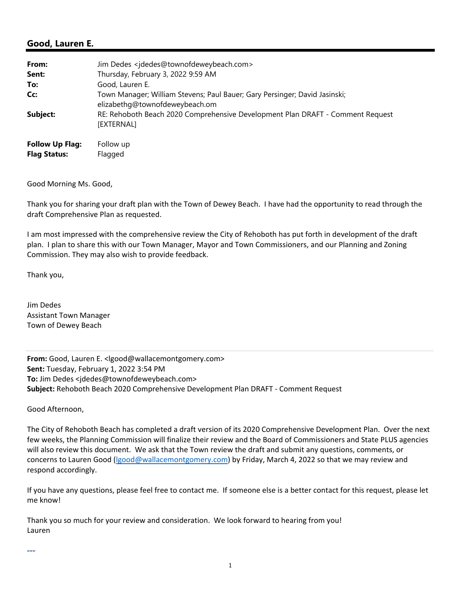## **Good, Lauren E.**

| From:                                         | Jim Dedes <jdedes@townofdeweybeach.com></jdedes@townofdeweybeach.com>                                        |
|-----------------------------------------------|--------------------------------------------------------------------------------------------------------------|
| Sent:                                         | Thursday, February 3, 2022 9:59 AM                                                                           |
| To:                                           | Good, Lauren E.                                                                                              |
| Cc:                                           | Town Manager; William Stevens; Paul Bauer; Gary Persinger; David Jasinski;<br>elizabethg@townofdeweybeach.om |
| Subject:                                      | RE: Rehoboth Beach 2020 Comprehensive Development Plan DRAFT - Comment Request<br>[EXTERNAL]                 |
| <b>Follow Up Flag:</b><br><b>Flag Status:</b> | Follow up<br>Flagged                                                                                         |

Good Morning Ms. Good,

Thank you for sharing your draft plan with the Town of Dewey Beach. I have had the opportunity to read through the draft Comprehensive Plan as requested.

I am most impressed with the comprehensive review the City of Rehoboth has put forth in development of the draft plan. I plan to share this with our Town Manager, Mayor and Town Commissioners, and our Planning and Zoning Commission. They may also wish to provide feedback.

Thank you,

Jim Dedes Assistant Town Manager Town of Dewey Beach

**From:** Good, Lauren E. <lgood@wallacemontgomery.com> **Sent:** Tuesday, February 1, 2022 3:54 PM **To:** Jim Dedes <jdedes@townofdeweybeach.com> **Subject:** Rehoboth Beach 2020 Comprehensive Development Plan DRAFT ‐ Comment Request

Good Afternoon,

The City of Rehoboth Beach has completed a draft version of its 2020 Comprehensive Development Plan. Over the next few weeks, the Planning Commission will finalize their review and the Board of Commissioners and State PLUS agencies will also review this document. We ask that the Town review the draft and submit any questions, comments, or concerns to Lauren Good (lgood@wallacemontgomery.com) by Friday, March 4, 2022 so that we may review and respond accordingly.

If you have any questions, please feel free to contact me. If someone else is a better contact for this request, please let me know!

Thank you so much for your review and consideration. We look forward to hearing from you! Lauren

---